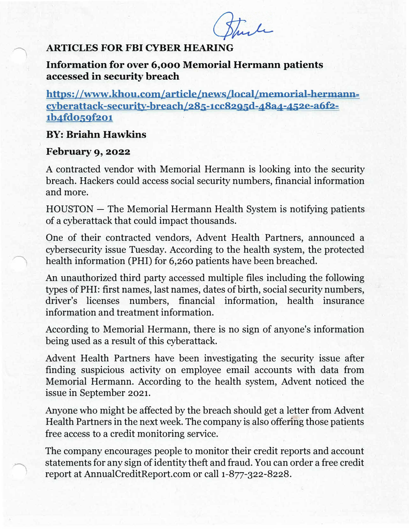## **ARTICLES FOR FBI CYBER HEARING**

**Information for over 6,000 Memorial Hermann patients accessed in security breach** 

**https://www.khou.com/article/news/local/memorial-hermanncyberattack-security-breach/285-1cc8295d-48a4-452e-a6f2- 1b4fdo59f201** 

## **BY: Briahn Hawkins**

## **February 9, 2022**

A contracted vendor with Memorial Hermann is looking into the security breach. Hackers could access social security numbers, financial information and more.

HOUSTON - The Memorial Hermann Health System is notifying patients of a cyberattack that could impact thousands.

One of their contracted vendors, Advent Health Partners, announced a cybersecurity issue Tuesday. According to the health system, the protected health information (PHI) for 6,260 patients have been breached.

An unauthorized third party accessed multiple files including the following types of PHI: first names, last names, dates of birth, social security numbers, driver's licenses numbers, financial information, health insurance information and treatment information.

According to Memorial Hermann, there is no sign of anyone's information being used as a result of this cyberattack.

Advent Health Partners have been investigating the security issue after finding suspicious activity on employee email accounts with data from Memorial Hermann. According to the health system, Advent noticed the issue in September 2021.

Anyone who might be affected by the breach should get a letter from Advent Health Partners in the next week. The company is also offering those patients free access to a credit monitoring service.

The company encourages people to monitor their credit reports and account statements for any sign of identity theft and fraud. You can order a free credit report at AnnualCreditReport.com or call 1-877-322-8228.